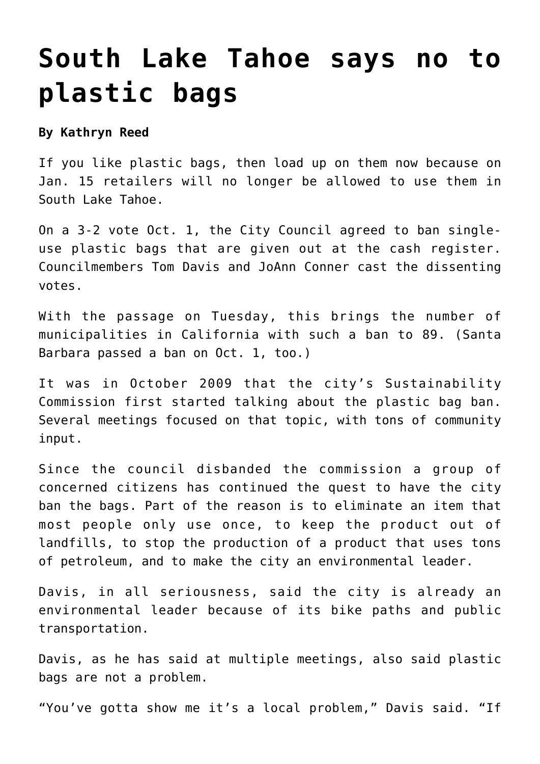## **[South Lake Tahoe says no to](https://www.laketahoenews.net/2013/10/south-lake-tahoe-says-plastic-bags/) [plastic bags](https://www.laketahoenews.net/2013/10/south-lake-tahoe-says-plastic-bags/)**

**By Kathryn Reed**

If you like plastic bags, then load up on them now because on Jan. 15 retailers will no longer be allowed to use them in South Lake Tahoe.

On a 3-2 vote Oct. 1, the City Council agreed to ban singleuse plastic bags that are given out at the cash register. Councilmembers Tom Davis and JoAnn Conner cast the dissenting votes.

With the passage on Tuesday, this brings the number of municipalities in California with such a ban to 89. (Santa Barbara passed a ban on Oct. 1, too.)

It was in October 2009 that the city's Sustainability Commission first started talking about the plastic bag ban. [Several meetings focused](https://www.laketahoenews.net/2010/02/facts-figures-opinions-delay-slts-plastic-bag-ban-decision/) on that topic, with tons of community input.

Since the council disbanded the commission a group of concerned citizens has continued the quest to have the city ban the bags. Part of the reason is to eliminate an item that most people only use once, to keep the product out of landfills, to stop the production of a product that uses tons of petroleum, and to make the city an environmental leader.

Davis, in all seriousness, said the city is already an environmental leader because of its bike paths and public transportation.

Davis, as he has said at multiple meetings, also said plastic bags are not a problem.

"You've gotta show me it's a local problem," Davis said. "If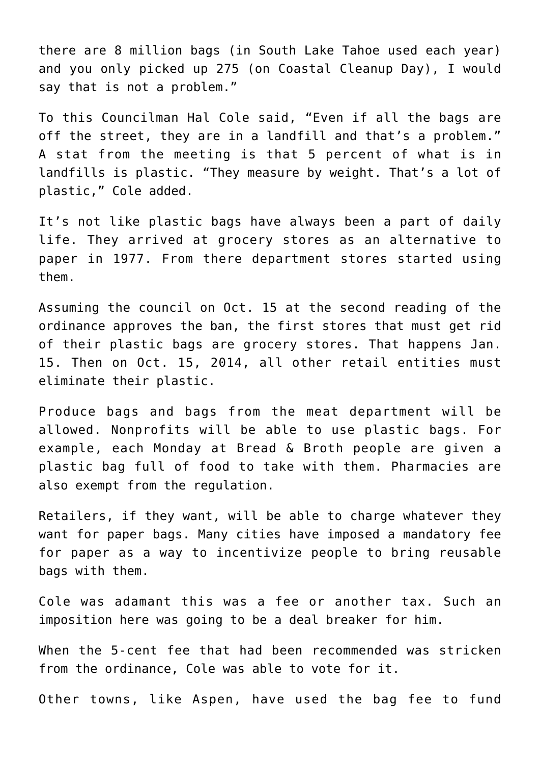there are 8 million bags (in South Lake Tahoe used each year) and you only picked up 275 (on Coastal Cleanup Day), I would say that is not a problem."

To this Councilman Hal Cole said, "Even if all the bags are off the street, they are in a landfill and that's a problem." A stat from the meeting is that 5 percent of what is in landfills is plastic. "They measure by weight. That's a lot of plastic," Cole added.

It's not like plastic bags have always been a part of daily life. They arrived at grocery stores as an alternative to paper in 1977. From there department stores started using them.

Assuming the council on Oct. 15 at the second reading of the ordinance approves the ban, the first stores that must get rid of their plastic bags are grocery stores. That happens Jan. 15. Then on Oct. 15, 2014, all other retail entities must eliminate their plastic.

Produce bags and bags from the meat department will be allowed. Nonprofits will be able to use plastic bags. For example, each Monday at Bread & Broth people are given a plastic bag full of food to take with them. Pharmacies are also exempt from the regulation.

Retailers, if they want, will be able to charge whatever they want for paper bags. Many cities have imposed a mandatory fee for paper as a way to incentivize people to bring reusable bags with them.

Cole was adamant this was a fee or another tax. Such an imposition here was going to be a deal breaker for him.

When the 5-cent fee that had been recommended was stricken from the ordinance, Cole was able to vote for it.

Other towns, like Aspen, have used the bag fee to fund